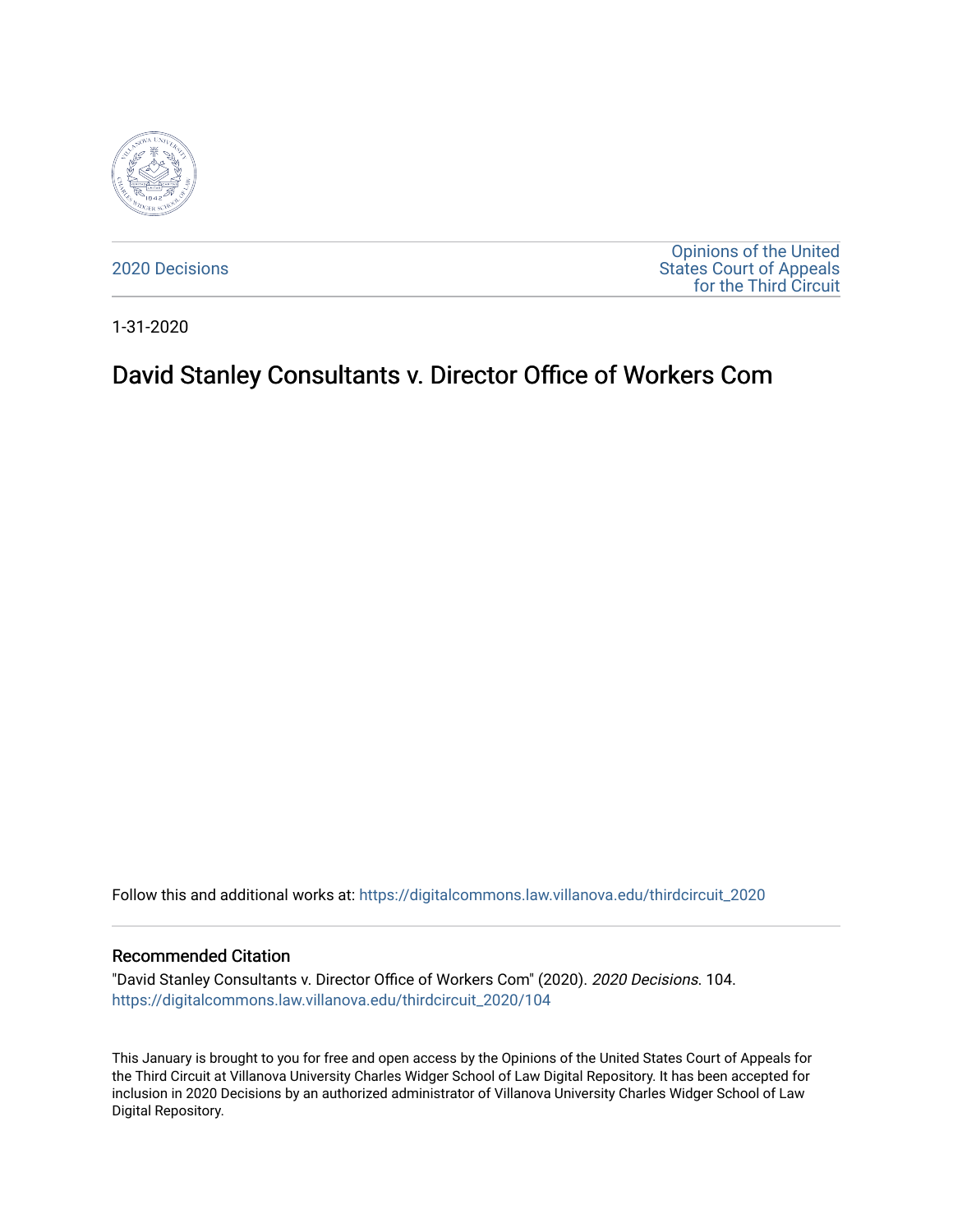

[2020 Decisions](https://digitalcommons.law.villanova.edu/thirdcircuit_2020)

[Opinions of the United](https://digitalcommons.law.villanova.edu/thirdcircuit)  [States Court of Appeals](https://digitalcommons.law.villanova.edu/thirdcircuit)  [for the Third Circuit](https://digitalcommons.law.villanova.edu/thirdcircuit) 

1-31-2020

# David Stanley Consultants v. Director Office of Workers Com

Follow this and additional works at: [https://digitalcommons.law.villanova.edu/thirdcircuit\\_2020](https://digitalcommons.law.villanova.edu/thirdcircuit_2020?utm_source=digitalcommons.law.villanova.edu%2Fthirdcircuit_2020%2F104&utm_medium=PDF&utm_campaign=PDFCoverPages) 

#### Recommended Citation

"David Stanley Consultants v. Director Office of Workers Com" (2020). 2020 Decisions. 104. [https://digitalcommons.law.villanova.edu/thirdcircuit\\_2020/104](https://digitalcommons.law.villanova.edu/thirdcircuit_2020/104?utm_source=digitalcommons.law.villanova.edu%2Fthirdcircuit_2020%2F104&utm_medium=PDF&utm_campaign=PDFCoverPages)

This January is brought to you for free and open access by the Opinions of the United States Court of Appeals for the Third Circuit at Villanova University Charles Widger School of Law Digital Repository. It has been accepted for inclusion in 2020 Decisions by an authorized administrator of Villanova University Charles Widger School of Law Digital Repository.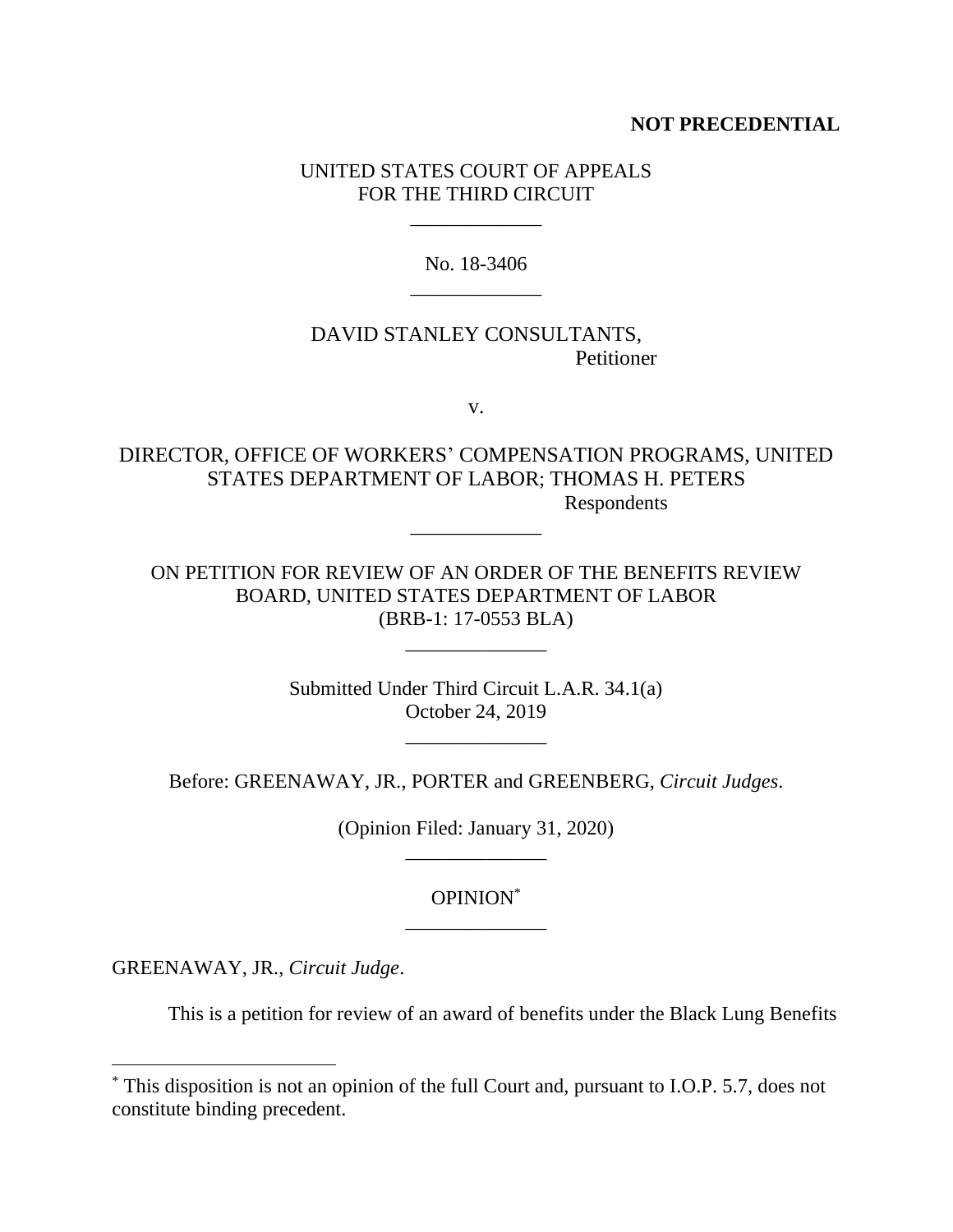# **NOT PRECEDENTIAL**

# UNITED STATES COURT OF APPEALS FOR THE THIRD CIRCUIT

\_\_\_\_\_\_\_\_\_\_\_\_\_

No. 18-3406 \_\_\_\_\_\_\_\_\_\_\_\_\_

# DAVID STANLEY CONSULTANTS, Petitioner

v.

DIRECTOR, OFFICE OF WORKERS' COMPENSATION PROGRAMS, UNITED STATES DEPARTMENT OF LABOR; THOMAS H. PETERS Respondents

\_\_\_\_\_\_\_\_\_\_\_\_\_

ON PETITION FOR REVIEW OF AN ORDER OF THE BENEFITS REVIEW BOARD, UNITED STATES DEPARTMENT OF LABOR (BRB-1: 17-0553 BLA)

\_\_\_\_\_\_\_\_\_\_\_\_\_\_

Submitted Under Third Circuit L.A.R. 34.1(a) October 24, 2019

\_\_\_\_\_\_\_\_\_\_\_\_\_\_

Before: GREENAWAY, JR., PORTER and GREENBERG, *Circuit Judges*.

(Opinion Filed: January 31, 2020) \_\_\_\_\_\_\_\_\_\_\_\_\_\_

# OPINION\* \_\_\_\_\_\_\_\_\_\_\_\_\_\_

GREENAWAY, JR., *Circuit Judge*.

This is a petition for review of an award of benefits under the Black Lung Benefits

<sup>\*</sup> This disposition is not an opinion of the full Court and, pursuant to I.O.P. 5.7, does not constitute binding precedent.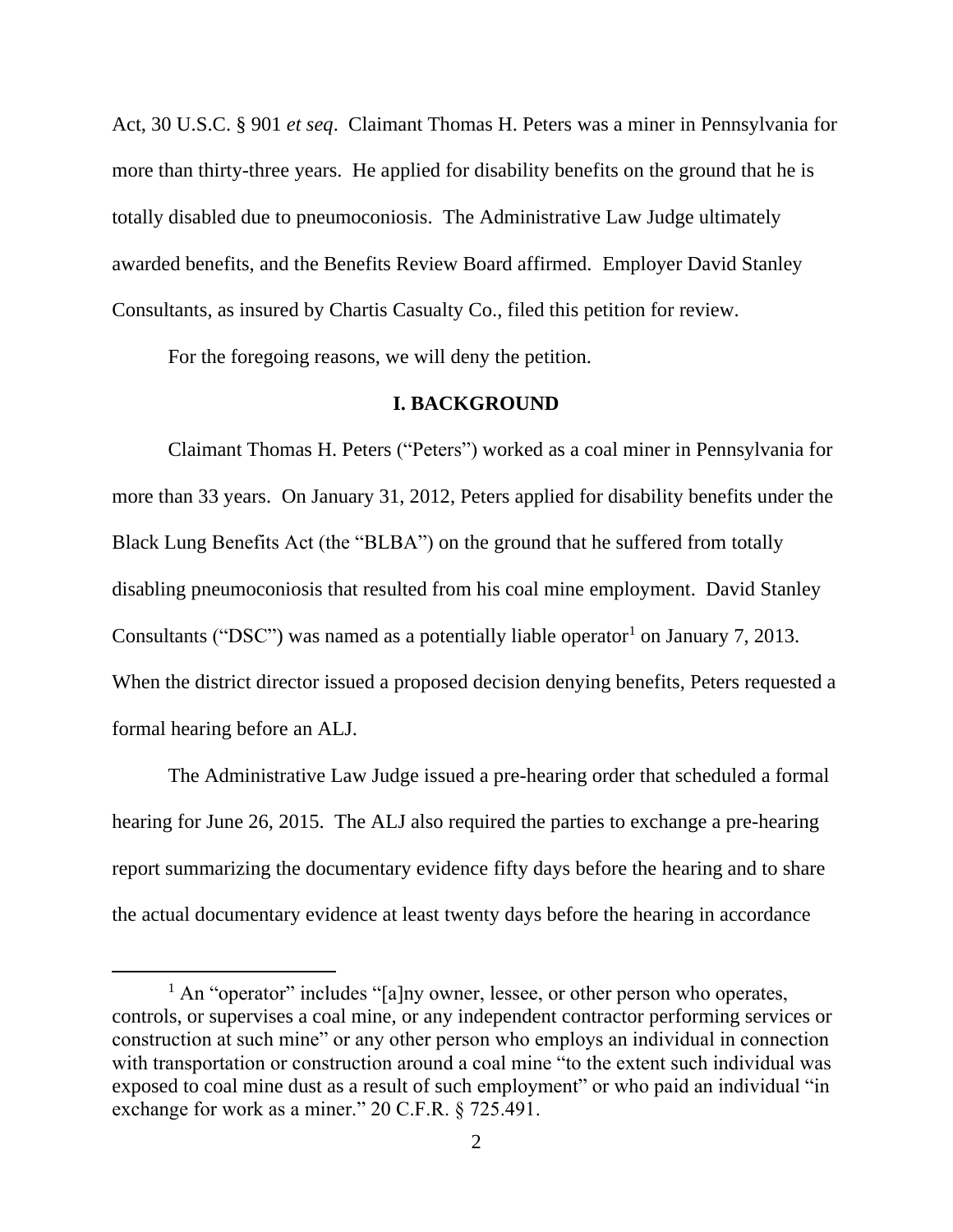Act, 30 U.S.C. § 901 *et seq*. Claimant Thomas H. Peters was a miner in Pennsylvania for more than thirty-three years. He applied for disability benefits on the ground that he is totally disabled due to pneumoconiosis. The Administrative Law Judge ultimately awarded benefits, and the Benefits Review Board affirmed. Employer David Stanley Consultants, as insured by Chartis Casualty Co., filed this petition for review.

For the foregoing reasons, we will deny the petition.

### **I. BACKGROUND**

Claimant Thomas H. Peters ("Peters") worked as a coal miner in Pennsylvania for more than 33 years. On January 31, 2012, Peters applied for disability benefits under the Black Lung Benefits Act (the "BLBA") on the ground that he suffered from totally disabling pneumoconiosis that resulted from his coal mine employment. David Stanley Consultants ("DSC") was named as a potentially liable operator<sup>1</sup> on January 7, 2013. When the district director issued a proposed decision denying benefits, Peters requested a formal hearing before an ALJ.

The Administrative Law Judge issued a pre-hearing order that scheduled a formal hearing for June 26, 2015. The ALJ also required the parties to exchange a pre-hearing report summarizing the documentary evidence fifty days before the hearing and to share the actual documentary evidence at least twenty days before the hearing in accordance

 $<sup>1</sup>$  An "operator" includes "[a]ny owner, lessee, or other person who operates,</sup> controls, or supervises a coal mine, or any independent contractor performing services or construction at such mine" or any other person who employs an individual in connection with transportation or construction around a coal mine "to the extent such individual was exposed to coal mine dust as a result of such employment" or who paid an individual "in exchange for work as a miner." 20 C.F.R. § 725.491.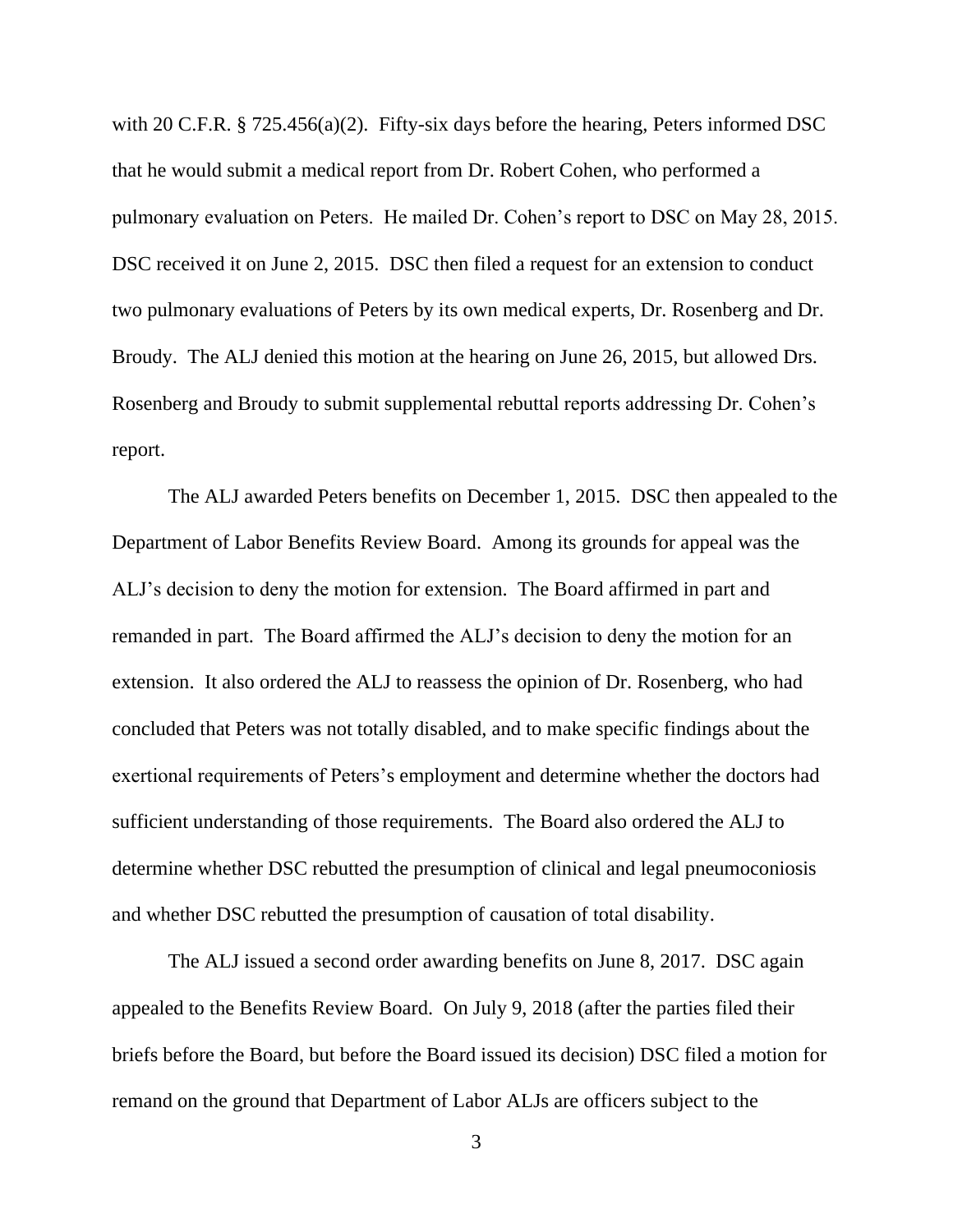with 20 C.F.R. § 725.456(a)(2). Fifty-six days before the hearing, Peters informed DSC that he would submit a medical report from Dr. Robert Cohen, who performed a pulmonary evaluation on Peters. He mailed Dr. Cohen's report to DSC on May 28, 2015. DSC received it on June 2, 2015. DSC then filed a request for an extension to conduct two pulmonary evaluations of Peters by its own medical experts, Dr. Rosenberg and Dr. Broudy. The ALJ denied this motion at the hearing on June 26, 2015, but allowed Drs. Rosenberg and Broudy to submit supplemental rebuttal reports addressing Dr. Cohen's report.

The ALJ awarded Peters benefits on December 1, 2015. DSC then appealed to the Department of Labor Benefits Review Board. Among its grounds for appeal was the ALJ's decision to deny the motion for extension. The Board affirmed in part and remanded in part. The Board affirmed the ALJ's decision to deny the motion for an extension. It also ordered the ALJ to reassess the opinion of Dr. Rosenberg, who had concluded that Peters was not totally disabled, and to make specific findings about the exertional requirements of Peters's employment and determine whether the doctors had sufficient understanding of those requirements. The Board also ordered the ALJ to determine whether DSC rebutted the presumption of clinical and legal pneumoconiosis and whether DSC rebutted the presumption of causation of total disability.

The ALJ issued a second order awarding benefits on June 8, 2017. DSC again appealed to the Benefits Review Board. On July 9, 2018 (after the parties filed their briefs before the Board, but before the Board issued its decision) DSC filed a motion for remand on the ground that Department of Labor ALJs are officers subject to the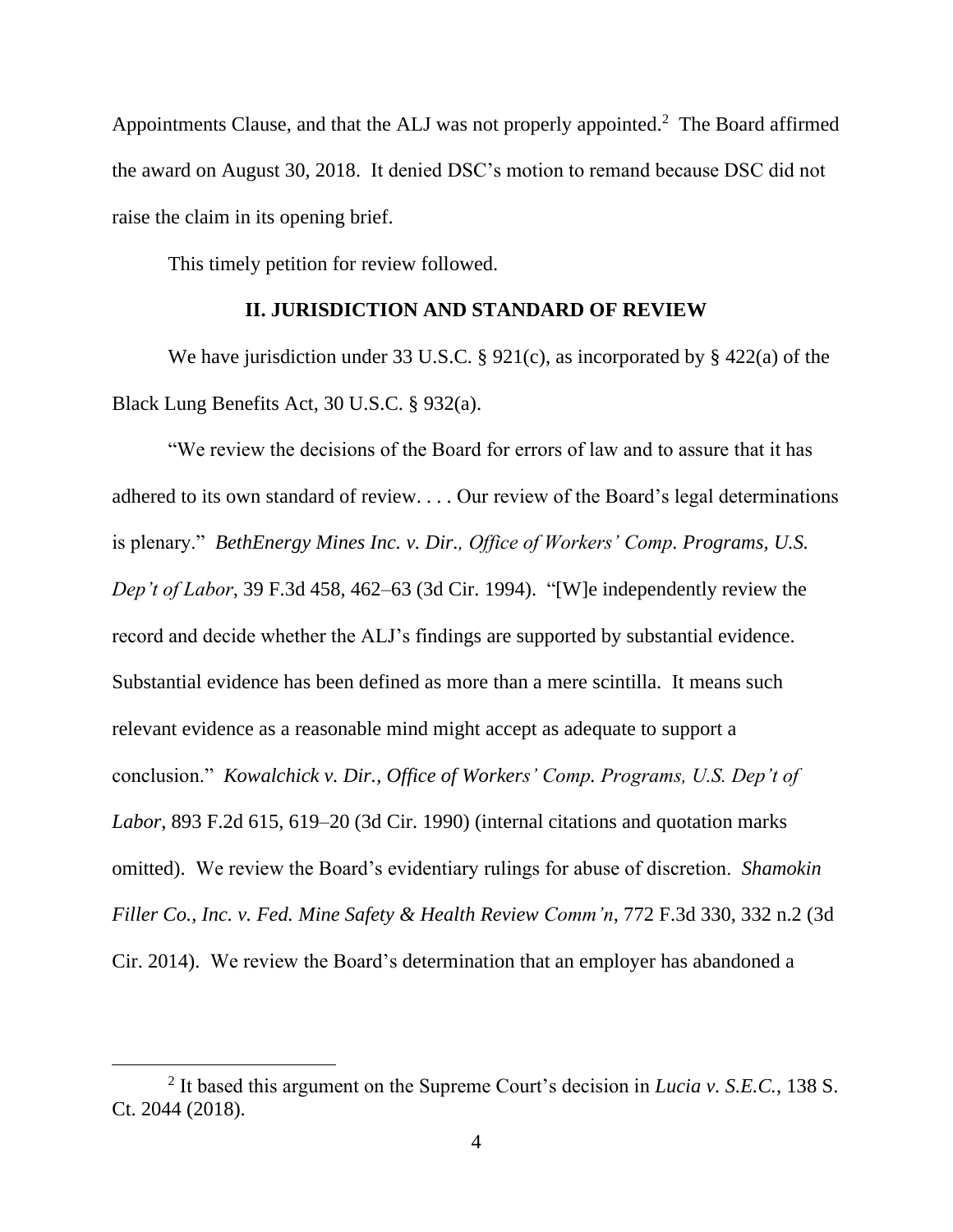Appointments Clause, and that the ALJ was not properly appointed.<sup>2</sup> The Board affirmed the award on August 30, 2018. It denied DSC's motion to remand because DSC did not raise the claim in its opening brief.

This timely petition for review followed.

### **II. JURISDICTION AND STANDARD OF REVIEW**

We have jurisdiction under 33 U.S.C. § 921(c), as incorporated by § 422(a) of the Black Lung Benefits Act, 30 U.S.C. § 932(a).

"We review the decisions of the Board for errors of law and to assure that it has adhered to its own standard of review. . . . Our review of the Board's legal determinations is plenary." *BethEnergy Mines Inc. v. Dir., Office of Workers' Comp. Programs, U.S. Dep't of Labor*, 39 F.3d 458, 462–63 (3d Cir. 1994). "[W]e independently review the record and decide whether the ALJ's findings are supported by substantial evidence. Substantial evidence has been defined as more than a mere scintilla. It means such relevant evidence as a reasonable mind might accept as adequate to support a conclusion." *Kowalchick v. Dir., Office of Workers' Comp. Programs, U.S. Dep't of Labor*, 893 F.2d 615, 619–20 (3d Cir. 1990) (internal citations and quotation marks omitted). We review the Board's evidentiary rulings for abuse of discretion. *Shamokin Filler Co., Inc. v. Fed. Mine Safety & Health Review Comm'n*, 772 F.3d 330, 332 n.2 (3d Cir. 2014). We review the Board's determination that an employer has abandoned a

<sup>2</sup> It based this argument on the Supreme Court's decision in *Lucia v. S.E.C.*, 138 S. Ct. 2044 (2018).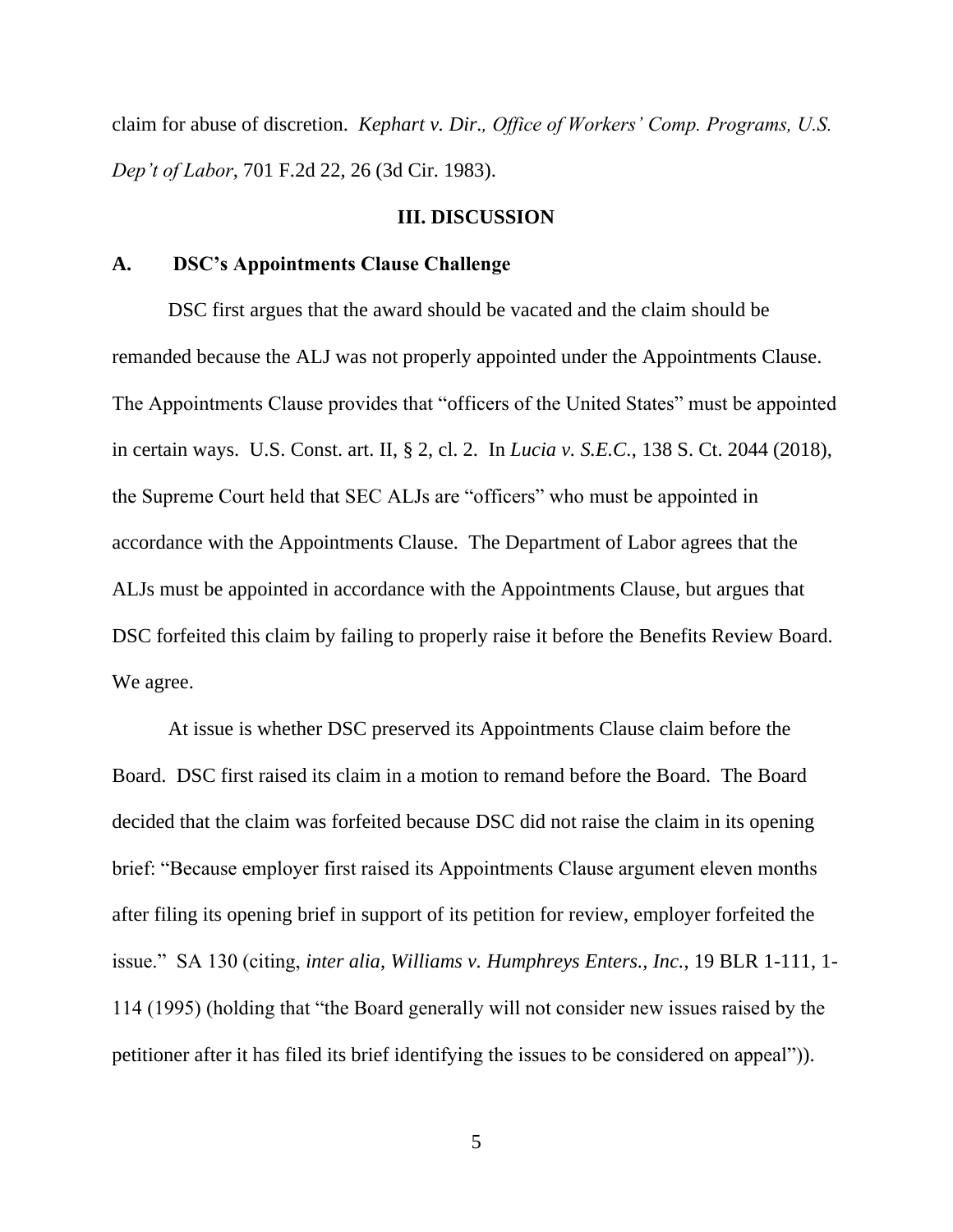claim for abuse of discretion. *Kephart v. Dir., Office of Workers' Comp. Programs, U.S. Dep't of Labor*, 701 F.2d 22, 26 (3d Cir. 1983).

#### **III. DISCUSSION**

#### **A. DSC's Appointments Clause Challenge**

DSC first argues that the award should be vacated and the claim should be remanded because the ALJ was not properly appointed under the Appointments Clause. The Appointments Clause provides that "officers of the United States" must be appointed in certain ways. U.S. Const. art. II, § 2, cl. 2. In *Lucia v. S.E.C.*, 138 S. Ct. 2044 (2018), the Supreme Court held that SEC ALJs are "officers" who must be appointed in accordance with the Appointments Clause. The Department of Labor agrees that the ALJs must be appointed in accordance with the Appointments Clause, but argues that DSC forfeited this claim by failing to properly raise it before the Benefits Review Board. We agree.

At issue is whether DSC preserved its Appointments Clause claim before the Board. DSC first raised its claim in a motion to remand before the Board. The Board decided that the claim was forfeited because DSC did not raise the claim in its opening brief: "Because employer first raised its Appointments Clause argument eleven months after filing its opening brief in support of its petition for review, employer forfeited the issue." SA 130 (citing, *inter alia*, *Williams v. Humphreys Enters., Inc.*, 19 BLR 1-111, 1- 114 (1995) (holding that "the Board generally will not consider new issues raised by the petitioner after it has filed its brief identifying the issues to be considered on appeal")).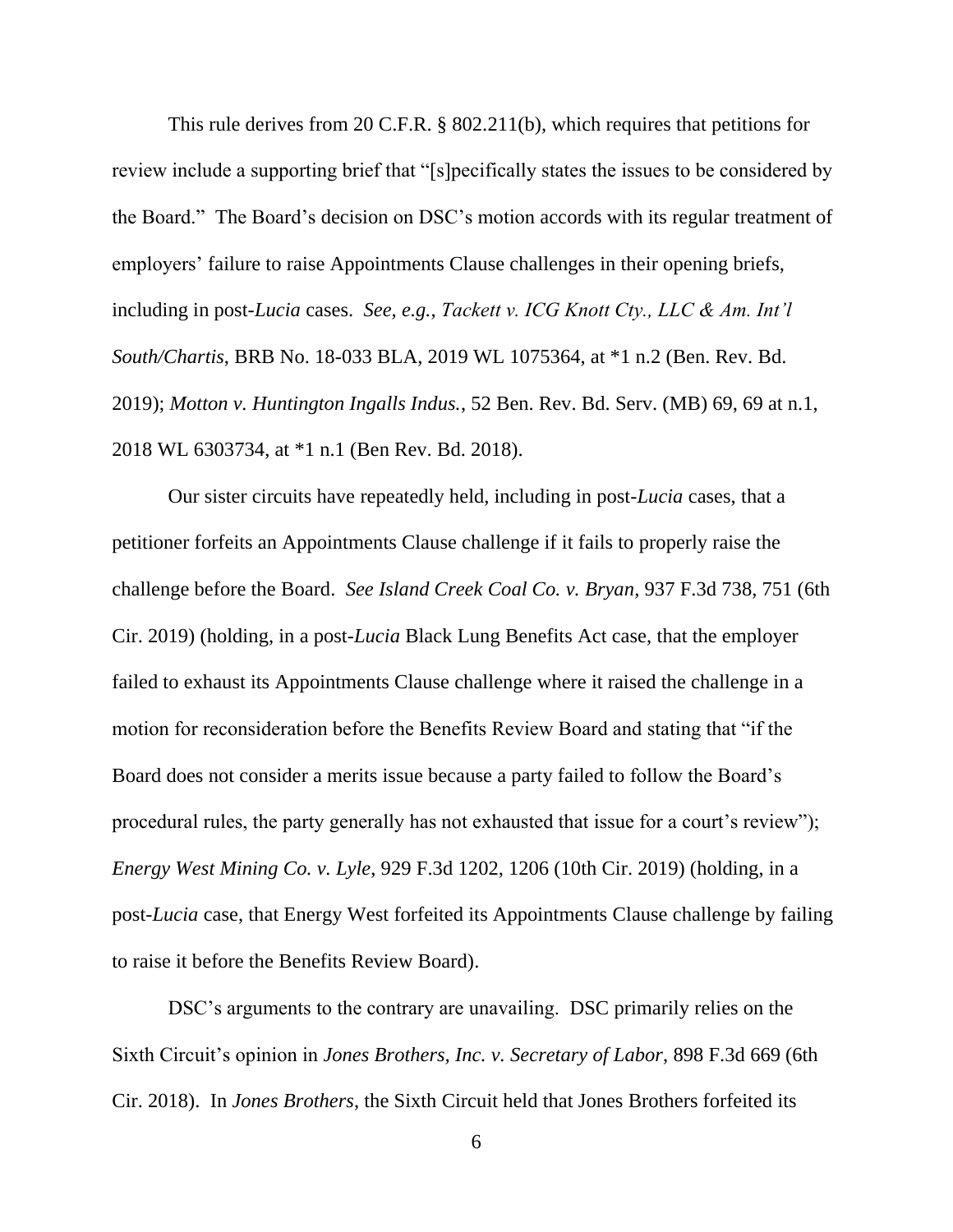This rule derives from 20 C.F.R. § 802.211(b), which requires that petitions for review include a supporting brief that "[s]pecifically states the issues to be considered by the Board." The Board's decision on DSC's motion accords with its regular treatment of employers' failure to raise Appointments Clause challenges in their opening briefs, including in post-*Lucia* cases. *See, e.g.*, *Tackett v. ICG Knott Cty., LLC & Am. Int'l South/Chartis*, BRB No. 18-033 BLA, 2019 WL 1075364, at \*1 n.2 (Ben. Rev. Bd. 2019); *Motton v. Huntington Ingalls Indus.*, 52 Ben. Rev. Bd. Serv. (MB) 69, 69 at n.1, 2018 WL 6303734, at \*1 n.1 (Ben Rev. Bd. 2018).

Our sister circuits have repeatedly held, including in post-*Lucia* cases, that a petitioner forfeits an Appointments Clause challenge if it fails to properly raise the challenge before the Board. *See Island Creek Coal Co. v. Bryan*, 937 F.3d 738, 751 (6th Cir. 2019) (holding, in a post-*Lucia* Black Lung Benefits Act case, that the employer failed to exhaust its Appointments Clause challenge where it raised the challenge in a motion for reconsideration before the Benefits Review Board and stating that "if the Board does not consider a merits issue because a party failed to follow the Board's procedural rules, the party generally has not exhausted that issue for a court's review"); *Energy West Mining Co. v. Lyle*, 929 F.3d 1202, 1206 (10th Cir. 2019) (holding, in a post-*Lucia* case, that Energy West forfeited its Appointments Clause challenge by failing to raise it before the Benefits Review Board).

DSC's arguments to the contrary are unavailing. DSC primarily relies on the Sixth Circuit's opinion in *Jones Brothers, Inc. v. Secretary of Labor*, 898 F.3d 669 (6th Cir. 2018). In *Jones Brothers*, the Sixth Circuit held that Jones Brothers forfeited its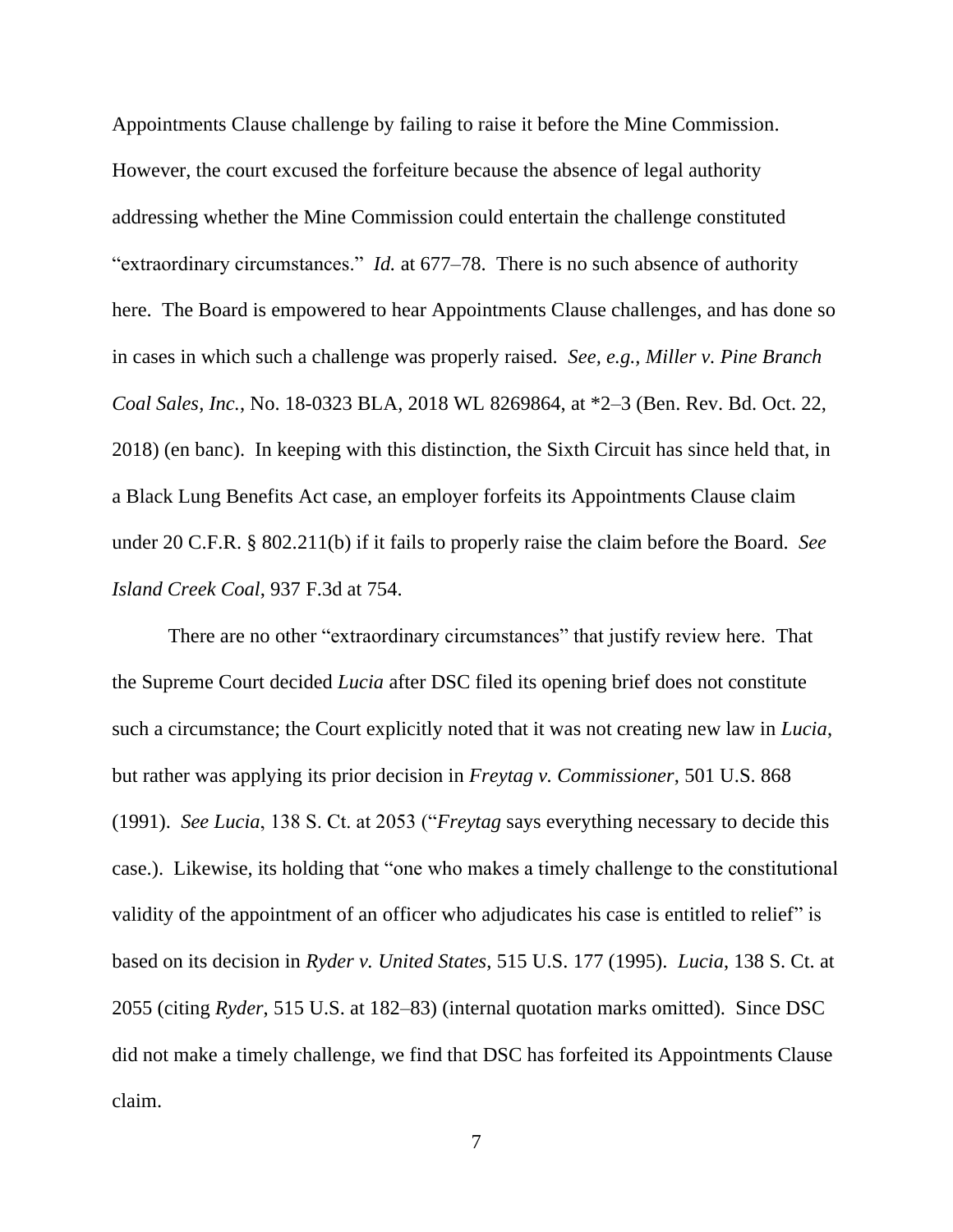Appointments Clause challenge by failing to raise it before the Mine Commission. However, the court excused the forfeiture because the absence of legal authority addressing whether the Mine Commission could entertain the challenge constituted "extraordinary circumstances." *Id.* at 677–78. There is no such absence of authority here. The Board is empowered to hear Appointments Clause challenges, and has done so in cases in which such a challenge was properly raised. *See, e.g., Miller v. Pine Branch Coal Sales, Inc.*, No. 18-0323 BLA, 2018 WL 8269864, at \*2–3 (Ben. Rev. Bd. Oct. 22, 2018) (en banc). In keeping with this distinction, the Sixth Circuit has since held that, in a Black Lung Benefits Act case, an employer forfeits its Appointments Clause claim under 20 C.F.R. § 802.211(b) if it fails to properly raise the claim before the Board. *See Island Creek Coal*, 937 F.3d at 754.

There are no other "extraordinary circumstances" that justify review here. That the Supreme Court decided *Lucia* after DSC filed its opening brief does not constitute such a circumstance; the Court explicitly noted that it was not creating new law in *Lucia*, but rather was applying its prior decision in *Freytag v. Commissioner*, 501 U.S. 868 (1991). *See Lucia*, 138 S. Ct. at 2053 ("*Freytag* says everything necessary to decide this case.). Likewise, its holding that "one who makes a timely challenge to the constitutional validity of the appointment of an officer who adjudicates his case is entitled to relief" is based on its decision in *Ryder v. United States*, 515 U.S. 177 (1995). *Lucia*, 138 S. Ct. at 2055 (citing *Ryder*, 515 U.S. at 182–83) (internal quotation marks omitted). Since DSC did not make a timely challenge, we find that DSC has forfeited its Appointments Clause claim.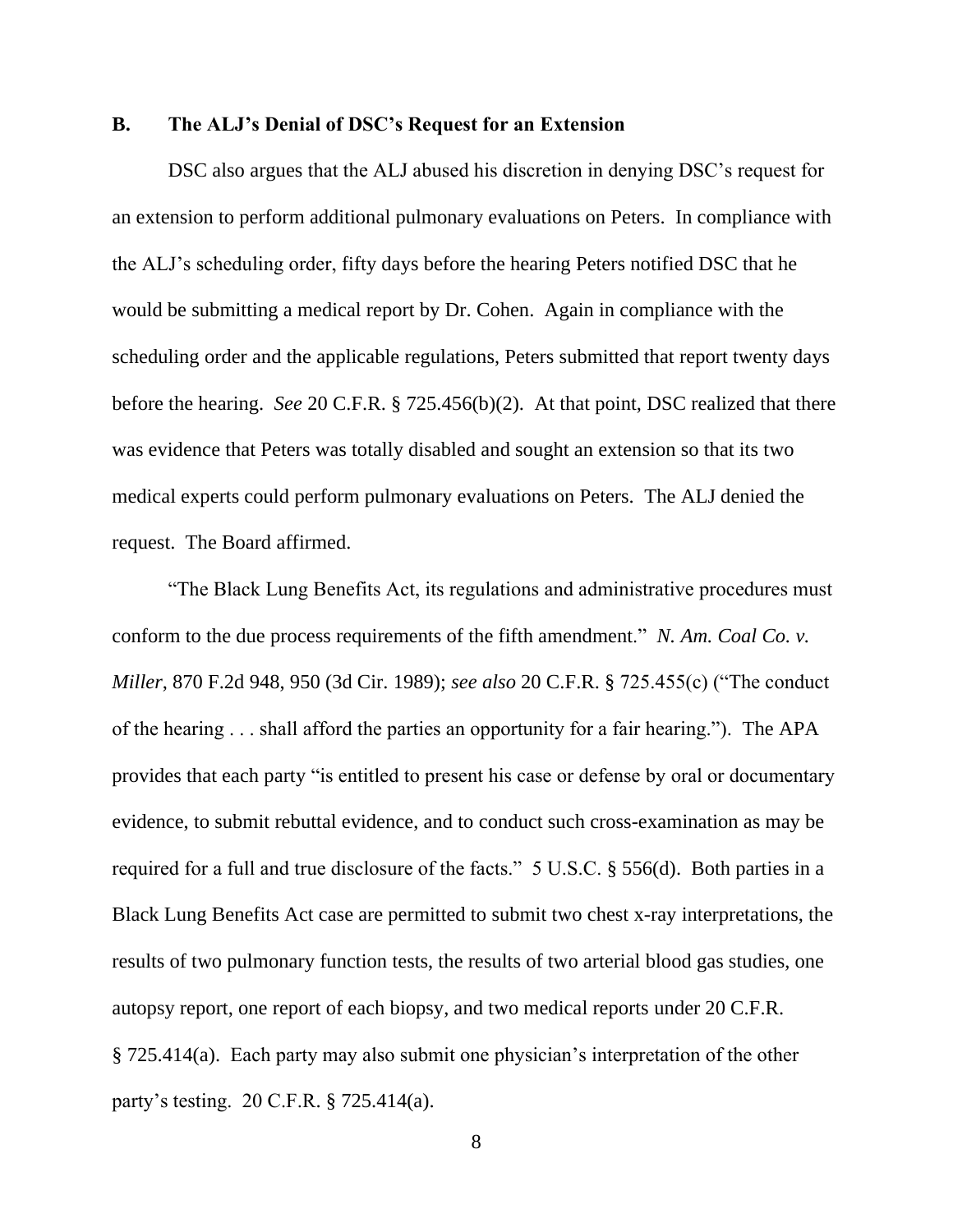## **B. The ALJ's Denial of DSC's Request for an Extension**

DSC also argues that the ALJ abused his discretion in denying DSC's request for an extension to perform additional pulmonary evaluations on Peters. In compliance with the ALJ's scheduling order, fifty days before the hearing Peters notified DSC that he would be submitting a medical report by Dr. Cohen. Again in compliance with the scheduling order and the applicable regulations, Peters submitted that report twenty days before the hearing. *See* 20 C.F.R. § 725.456(b)(2). At that point, DSC realized that there was evidence that Peters was totally disabled and sought an extension so that its two medical experts could perform pulmonary evaluations on Peters. The ALJ denied the request. The Board affirmed.

"The Black Lung Benefits Act, its regulations and administrative procedures must conform to the due process requirements of the fifth amendment." *N. Am. Coal Co. v. Miller*, 870 F.2d 948, 950 (3d Cir. 1989); *see also* 20 C.F.R. § 725.455(c) ("The conduct of the hearing . . . shall afford the parties an opportunity for a fair hearing."). The APA provides that each party "is entitled to present his case or defense by oral or documentary evidence, to submit rebuttal evidence, and to conduct such cross-examination as may be required for a full and true disclosure of the facts." 5 U.S.C. § 556(d). Both parties in a Black Lung Benefits Act case are permitted to submit two chest x-ray interpretations, the results of two pulmonary function tests, the results of two arterial blood gas studies, one autopsy report, one report of each biopsy, and two medical reports under 20 C.F.R. § 725.414(a). Each party may also submit one physician's interpretation of the other party's testing. 20 C.F.R. § 725.414(a).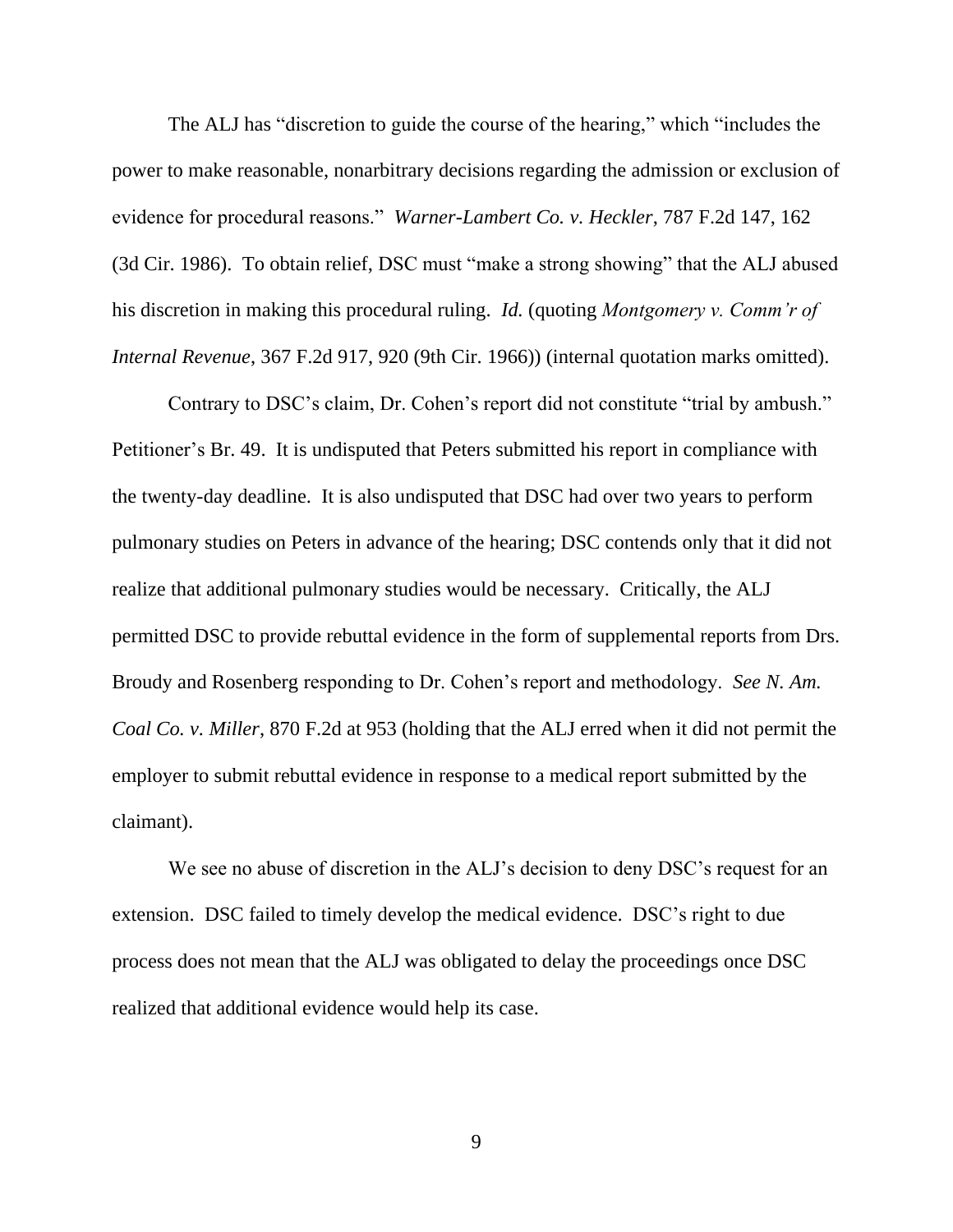The ALJ has "discretion to guide the course of the hearing," which "includes the power to make reasonable, nonarbitrary decisions regarding the admission or exclusion of evidence for procedural reasons." *Warner-Lambert Co. v. Heckler*, 787 F.2d 147, 162 (3d Cir. 1986). To obtain relief, DSC must "make a strong showing" that the ALJ abused his discretion in making this procedural ruling. *Id.* (quoting *Montgomery v. Comm'r of Internal Revenue*, 367 F.2d 917, 920 (9th Cir. 1966)) (internal quotation marks omitted).

Contrary to DSC's claim, Dr. Cohen's report did not constitute "trial by ambush." Petitioner's Br. 49. It is undisputed that Peters submitted his report in compliance with the twenty-day deadline. It is also undisputed that DSC had over two years to perform pulmonary studies on Peters in advance of the hearing; DSC contends only that it did not realize that additional pulmonary studies would be necessary. Critically, the ALJ permitted DSC to provide rebuttal evidence in the form of supplemental reports from Drs. Broudy and Rosenberg responding to Dr. Cohen's report and methodology. *See N. Am. Coal Co. v. Miller*, 870 F.2d at 953 (holding that the ALJ erred when it did not permit the employer to submit rebuttal evidence in response to a medical report submitted by the claimant).

We see no abuse of discretion in the ALJ's decision to deny DSC's request for an extension. DSC failed to timely develop the medical evidence. DSC's right to due process does not mean that the ALJ was obligated to delay the proceedings once DSC realized that additional evidence would help its case.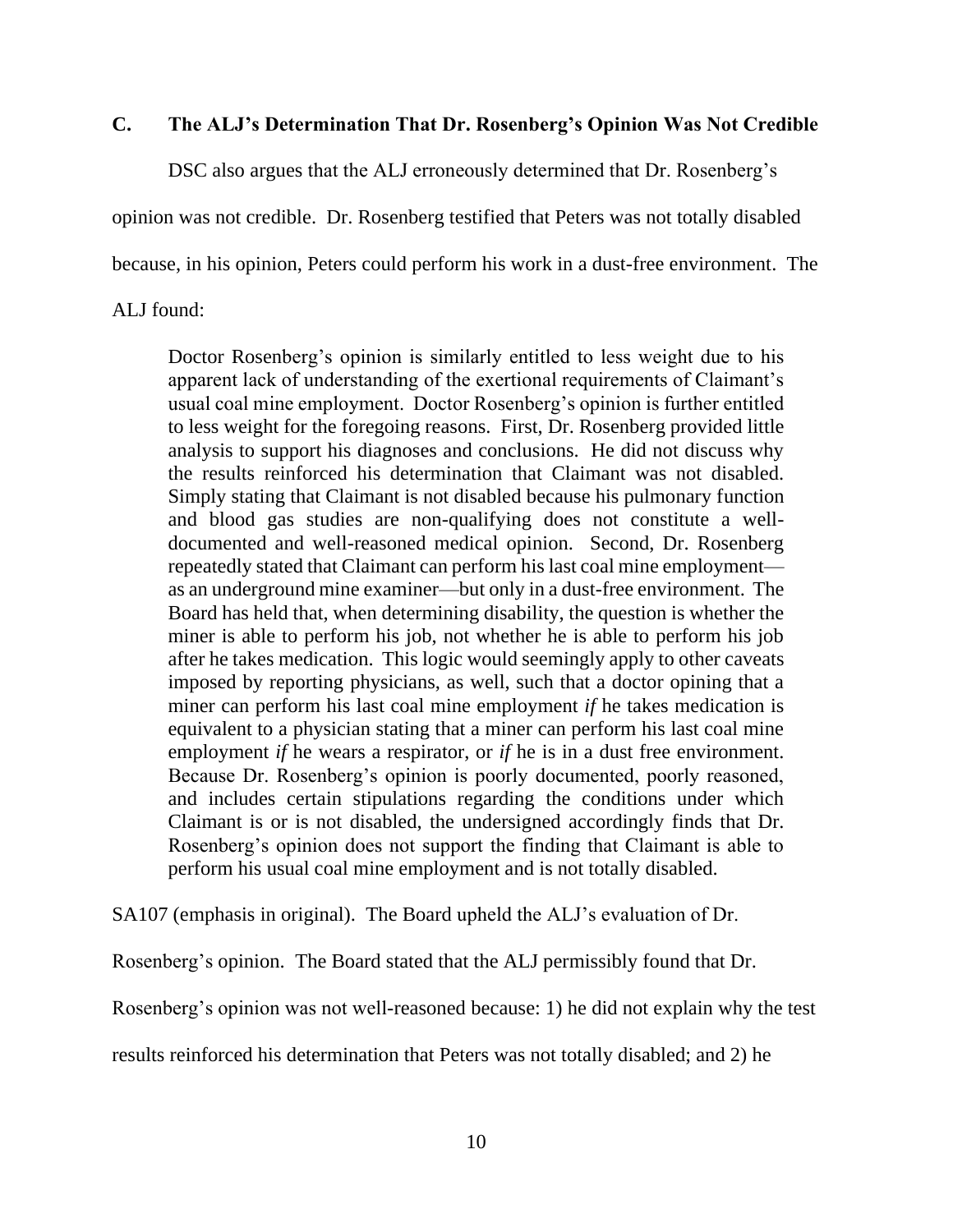# **C. The ALJ's Determination That Dr. Rosenberg's Opinion Was Not Credible**

DSC also argues that the ALJ erroneously determined that Dr. Rosenberg's

opinion was not credible. Dr. Rosenberg testified that Peters was not totally disabled

because, in his opinion, Peters could perform his work in a dust-free environment. The

## ALJ found:

Doctor Rosenberg's opinion is similarly entitled to less weight due to his apparent lack of understanding of the exertional requirements of Claimant's usual coal mine employment. Doctor Rosenberg's opinion is further entitled to less weight for the foregoing reasons. First, Dr. Rosenberg provided little analysis to support his diagnoses and conclusions. He did not discuss why the results reinforced his determination that Claimant was not disabled. Simply stating that Claimant is not disabled because his pulmonary function and blood gas studies are non-qualifying does not constitute a welldocumented and well-reasoned medical opinion. Second, Dr. Rosenberg repeatedly stated that Claimant can perform his last coal mine employment as an underground mine examiner—but only in a dust-free environment. The Board has held that, when determining disability, the question is whether the miner is able to perform his job, not whether he is able to perform his job after he takes medication. This logic would seemingly apply to other caveats imposed by reporting physicians, as well, such that a doctor opining that a miner can perform his last coal mine employment *if* he takes medication is equivalent to a physician stating that a miner can perform his last coal mine employment *if* he wears a respirator, or *if* he is in a dust free environment. Because Dr. Rosenberg's opinion is poorly documented, poorly reasoned, and includes certain stipulations regarding the conditions under which Claimant is or is not disabled, the undersigned accordingly finds that Dr. Rosenberg's opinion does not support the finding that Claimant is able to perform his usual coal mine employment and is not totally disabled.

SA107 (emphasis in original). The Board upheld the ALJ's evaluation of Dr.

Rosenberg's opinion. The Board stated that the ALJ permissibly found that Dr.

Rosenberg's opinion was not well-reasoned because: 1) he did not explain why the test

results reinforced his determination that Peters was not totally disabled; and 2) he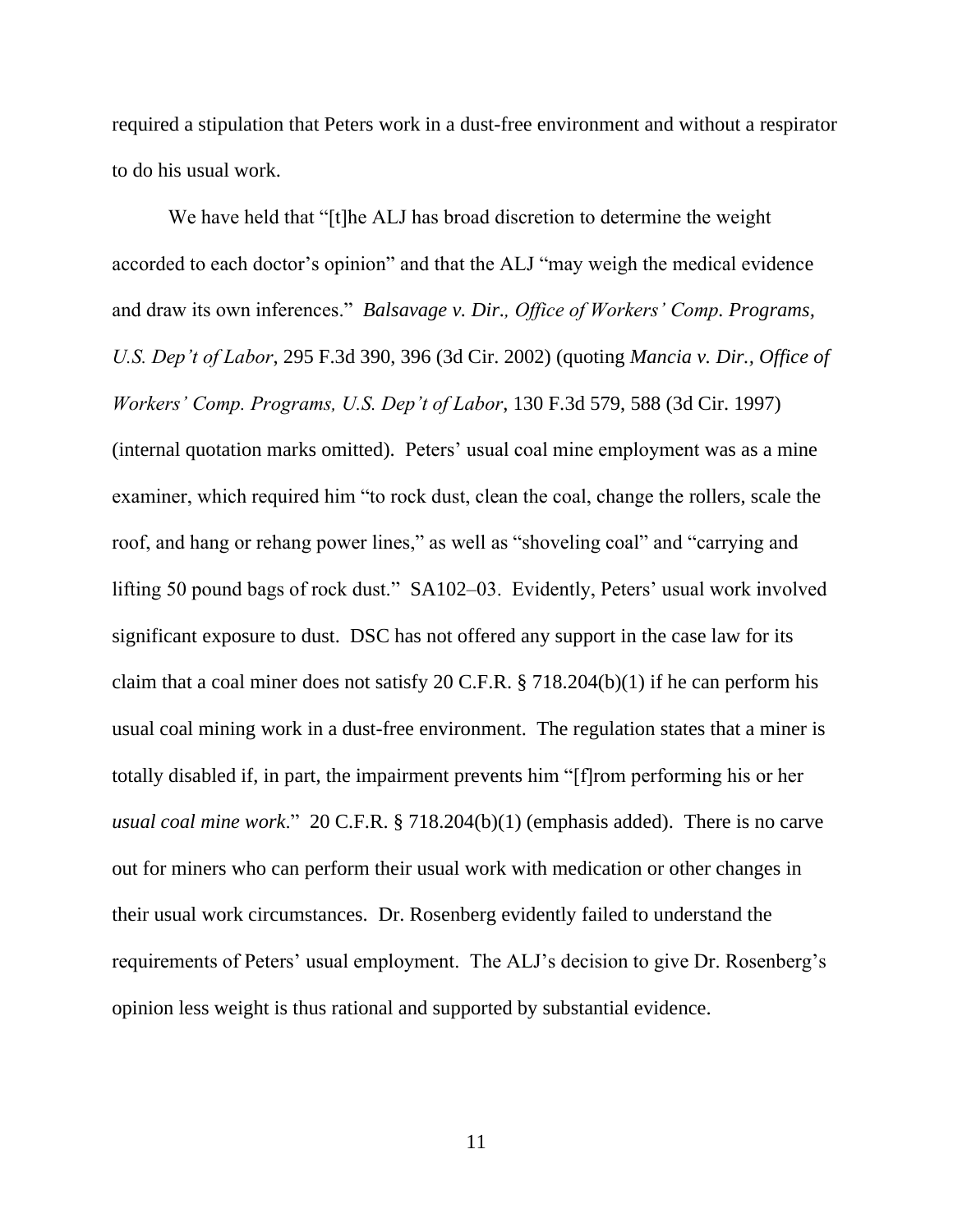required a stipulation that Peters work in a dust-free environment and without a respirator to do his usual work.

We have held that "[t]he ALJ has broad discretion to determine the weight accorded to each doctor's opinion" and that the ALJ "may weigh the medical evidence and draw its own inferences." *Balsavage v. Dir., Office of Workers' Comp. Programs, U.S. Dep't of Labor*, 295 F.3d 390, 396 (3d Cir. 2002) (quoting *Mancia v. Dir., Office of Workers' Comp. Programs, U.S. Dep't of Labor*, 130 F.3d 579, 588 (3d Cir. 1997) (internal quotation marks omitted). Peters' usual coal mine employment was as a mine examiner, which required him "to rock dust, clean the coal, change the rollers, scale the roof, and hang or rehang power lines," as well as "shoveling coal" and "carrying and lifting 50 pound bags of rock dust." SA102–03. Evidently, Peters' usual work involved significant exposure to dust. DSC has not offered any support in the case law for its claim that a coal miner does not satisfy 20 C.F.R. § 718.204(b)(1) if he can perform his usual coal mining work in a dust-free environment. The regulation states that a miner is totally disabled if, in part, the impairment prevents him "[f]rom performing his or her *usual coal mine work*." 20 C.F.R. § 718.204(b)(1) (emphasis added). There is no carve out for miners who can perform their usual work with medication or other changes in their usual work circumstances. Dr. Rosenberg evidently failed to understand the requirements of Peters' usual employment. The ALJ's decision to give Dr. Rosenberg's opinion less weight is thus rational and supported by substantial evidence.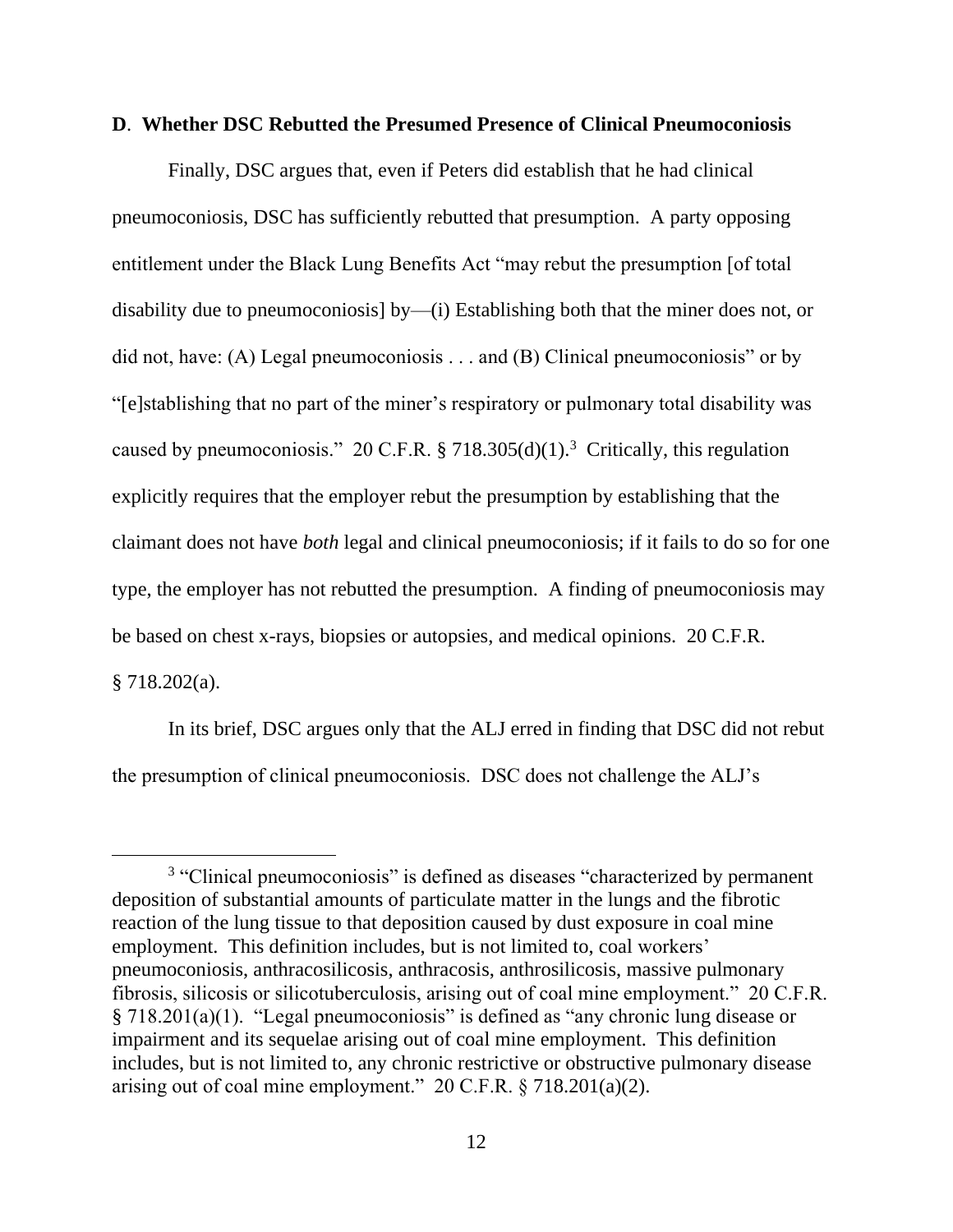#### **D**. **Whether DSC Rebutted the Presumed Presence of Clinical Pneumoconiosis**

Finally, DSC argues that, even if Peters did establish that he had clinical pneumoconiosis, DSC has sufficiently rebutted that presumption. A party opposing entitlement under the Black Lung Benefits Act "may rebut the presumption [of total disability due to pneumoconiosis] by—(i) Establishing both that the miner does not, or did not, have: (A) Legal pneumoconiosis . . . and (B) Clinical pneumoconiosis" or by "[e]stablishing that no part of the miner's respiratory or pulmonary total disability was caused by pneumoconiosis." 20 C.F.R. § 718.305(d)(1).<sup>3</sup> Critically, this regulation explicitly requires that the employer rebut the presumption by establishing that the claimant does not have *both* legal and clinical pneumoconiosis; if it fails to do so for one type, the employer has not rebutted the presumption. A finding of pneumoconiosis may be based on chest x-rays, biopsies or autopsies, and medical opinions. 20 C.F.R. § 718.202(a).

In its brief, DSC argues only that the ALJ erred in finding that DSC did not rebut the presumption of clinical pneumoconiosis. DSC does not challenge the ALJ's

<sup>&</sup>lt;sup>3</sup> "Clinical pneumoconiosis" is defined as diseases "characterized by permanent deposition of substantial amounts of particulate matter in the lungs and the fibrotic reaction of the lung tissue to that deposition caused by dust exposure in coal mine employment. This definition includes, but is not limited to, coal workers' pneumoconiosis, anthracosilicosis, anthracosis, anthrosilicosis, massive pulmonary fibrosis, silicosis or silicotuberculosis, arising out of coal mine employment." 20 C.F.R. § 718.201(a)(1). "Legal pneumoconiosis" is defined as "any chronic lung disease or impairment and its sequelae arising out of coal mine employment. This definition includes, but is not limited to, any chronic restrictive or obstructive pulmonary disease arising out of coal mine employment." 20 C.F.R. § 718.201(a)(2).